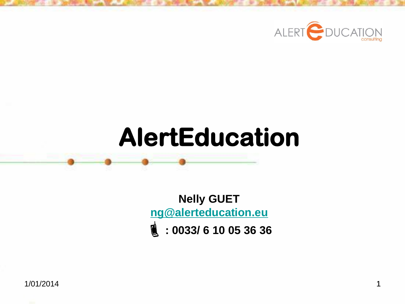

# **AlertEducation**

**Nelly GUET [ng@alerteducation.eu](mailto:ng@alerteducation.eu) : 0033/ 6 10 05 36 36**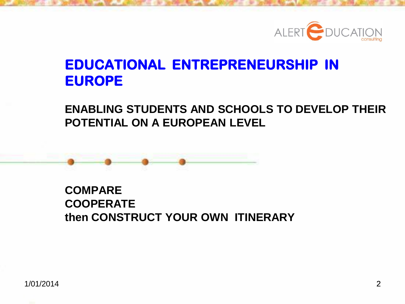

### **EDUCATIONAL ENTREPRENEURSHIP IN EUROPE**

#### **ENABLING STUDENTS AND SCHOOLS TO DEVELOP THEIR POTENTIAL ON A EUROPEAN LEVEL**



#### **COMPARE COOPERATE then CONSTRUCT YOUR OWN ITINERARY**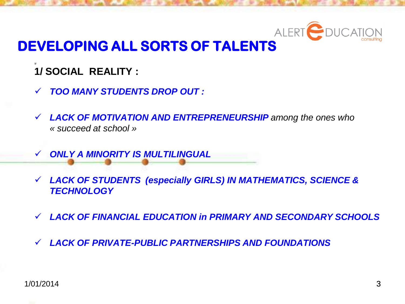

### **DEVELOPING ALL SORTS OF TALENTS**

- **1/ 1/ SOCIAL REALITY :**
- *TOO MANY STUDENTS DROP OUT :*
- *LACK OF MOTIVATION AND ENTREPRENEURSHIP among the ones who « succeed at school »*
- *ONLY A MINORITY IS MULTILINGUAL*
- *LACK OF STUDENTS (especially GIRLS) IN MATHEMATICS, SCIENCE & TECHNOLOGY*
- *LACK OF FINANCIAL EDUCATION in PRIMARY AND SECONDARY SCHOOLS*
- *LACK OF PRIVATE-PUBLIC PARTNERSHIPS AND FOUNDATIONS*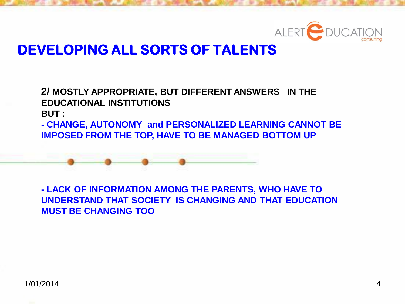

#### **DEVELOPING ALL SORTS OF TALENTS**

**2/ MOSTLY APPROPRIATE, BUT DIFFERENT ANSWERS IN THE EDUCATIONAL INSTITUTIONS BUT :**

**- CHANGE, AUTONOMY and PERSONALIZED LEARNING CANNOT BE IMPOSED FROM THE TOP, HAVE TO BE MANAGED BOTTOM UP**

**- LACK OF INFORMATION AMONG THE PARENTS, WHO HAVE TO UNDERSTAND THAT SOCIETY IS CHANGING AND THAT EDUCATION MUST BE CHANGING TOO**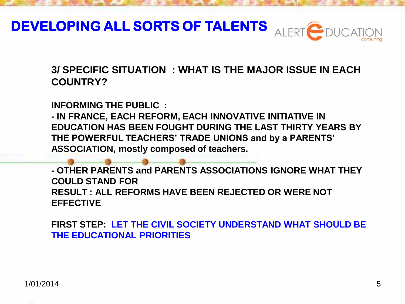

**3/ SPECIFIC SITUATION : WHAT IS THE MAJOR ISSUE IN EACH COUNTRY?**

**INFORMING THE PUBLIC :**

**- IN FRANCE, EACH REFORM, EACH INNOVATIVE INITIATIVE IN EDUCATION HAS BEEN FOUGHT DURING THE LAST THIRTY YEARS BY THE POWERFUL TEACHERS' TRADE UNIONS and by a PARENTS' ASSOCIATION, mostly composed of teachers.**

**- OTHER PARENTS and PARENTS ASSOCIATIONS IGNORE WHAT THEY COULD STAND FOR RESULT : ALL REFORMS HAVE BEEN REJECTED OR WERE NOT EFFECTIVE**

**FIRST STEP: LET THE CIVIL SOCIETY UNDERSTAND WHAT SHOULD BE THE EDUCATIONAL PRIORITIES**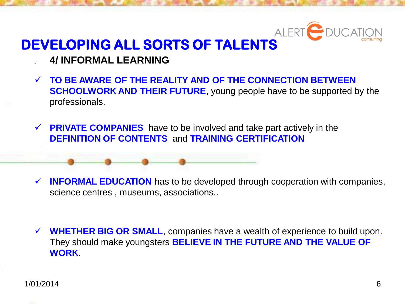

### **DEVELOPING ALL SORTS OF TALENTS**

- **1/ 4/ INFORMAL LEARNING**
- **TO BE AWARE OF THE REALITY AND OF THE CONNECTION BETWEEN SCHOOLWORK AND THEIR FUTURE**, young people have to be supported by the professionals.
- **PRIVATE COMPANIES** have to be involved and take part actively in the **DEFINITION OF CONTENTS** and **TRAINING CERTIFICATION**

- **INFORMAL EDUCATION** has to be developed through cooperation with companies, science centres , museums, associations..
- **WHETHER BIG OR SMALL**, companies have a wealth of experience to build upon. They should make youngsters **BELIEVE IN THE FUTURE AND THE VALUE OF WORK**.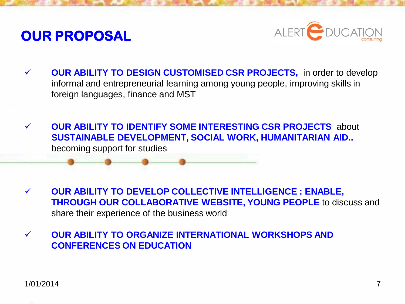### **OUR PROPOSAL**



- **OUR ABILITY TO DESIGN CUSTOMISED CSR PROJECTS,** in order to develop informal and entrepreneurial learning among young people, improving skills in foreign languages, finance and MST
- **OUR ABILITY TO IDENTIFY SOME INTERESTING CSR PROJECTS** about **SUSTAINABLE DEVELOPMENT, SOCIAL WORK, HUMANITARIAN AID..** becoming support for studies

 **OUR ABILITY TO DEVELOP COLLECTIVE INTELLIGENCE : ENABLE, THROUGH OUR COLLABORATIVE WEBSITE, YOUNG PEOPLE** to discuss and share their experience of the business world

 **OUR ABILITY TO ORGANIZE INTERNATIONAL WORKSHOPS AND CONFERENCES ON EDUCATION**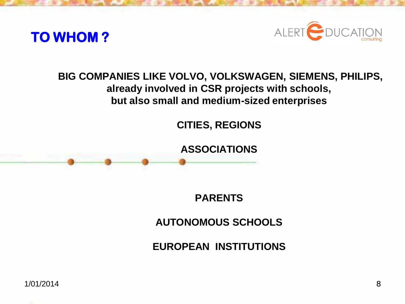



#### **BIG COMPANIES LIKE VOLVO, VOLKSWAGEN, SIEMENS, PHILIPS, already involved in CSR projects with schools, but also small and medium-sized enterprises**

**CITIES, REGIONS**

**ASSOCIATIONS** 

**PARENTS** 

**AUTONOMOUS SCHOOLS**

**EUROPEAN INSTITUTIONS**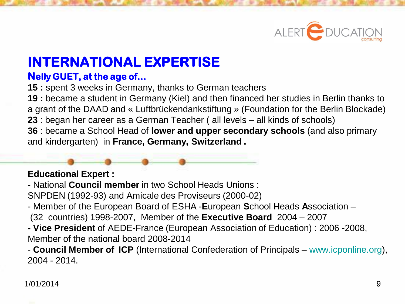

### **INTERNATIONAL EXPERTISE**

#### **Nelly GUET, at the age of…**

**15 :** spent 3 weeks in Germany, thanks to German teachers

**19 :** became a student in Germany (Kiel) and then financed her studies in Berlin thanks to a grant of the DAAD and « Luftbrückendankstiftung » (Foundation for the Berlin Blockade) **23** : began her career as a German Teacher ( all levels – all kinds of schools)

**36** : became a School Head of **lower and upper secondary schools** (and also primary and kindergarten) in **France, Germany, Switzerland .** 

#### **Educational Expert :**

- National **Council member** in two School Heads Unions :

SNPDEN (1992-93) and Amicale des Proviseurs (2000-02)

- Member of the European Board of ESHA -**E**uropean **S**chool **H**eads **A**ssociation (32 countries) 1998-2007, Member of the **Executive Board** 2004 – 2007
- **- Vice President** of AEDE-France (European Association of Education) : 2006 -2008, Member of the national board 2008-2014

- **Council Member of ICP** (International Confederation of Principals – [www.icponline.org](http://www.icponline.org/)), 2004 - 2014.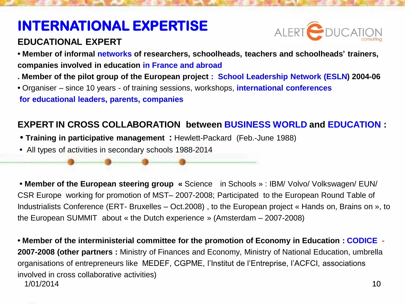### **INTERNATIONAL EXPERTISE**

#### **EDUCATIONAL EXPERT**



**• Member of informal networks of researchers, schoolheads, teachers and schoolheads' trainers, companies involved in education in France and abroad**

- **. Member of the pilot group of the European project : School Leadership Network (ESLN) 2004-06**
- **•** Organiser since 10 years of training sessions, workshops, **international conferences for educational leaders, parents, companies**

#### **EXPERT IN CROSS COLLABORATION between BUSINESS WORLD and EDUCATION :**

- **• Training in participative management :** Hewlett-Packard (Feb.-June 1988)
- **•** All types of activities in secondary schools 1988-2014

**• Member of the European steering group «** Science in Schools » : IBM/ Volvo/ Volkswagen/ EUN/ CSR Europe working for promotion of MST– 2007-2008; Participated to the European Round Table of Industrialists Conference (ERT- Bruxelles – Oct.2008) , to the European project « Hands on, Brains on », to the European SUMMIT about « the Dutch experience » (Amsterdam – 2007-2008)

10 **• Member of the interministerial committee for the promotion of Economy in Education : CODICE - 2007-2008 (other partners :** Ministry of Finances and Economy, Ministry of National Education, umbrella organisations of entrepreneurs like MEDEF, CGPME, l'Institut de l'Entreprise, l'ACFCI, associations involved in cross collaborative activities) 1/01/2014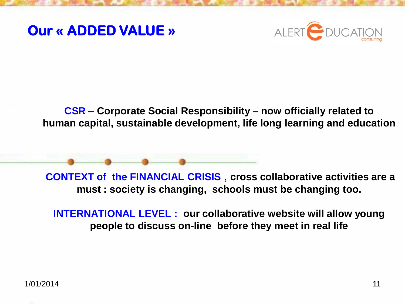### **Our « ADDED VALUE »**



**CSR – Corporate Social Responsibility – now officially related to human capital, sustainable development, life long learning and education**

**CONTEXT of the FINANCIAL CRISIS** , **cross collaborative activities are a must : society is changing, schools must be changing too.** 

**INTERNATIONAL LEVEL : our collaborative website will allow young people to discuss on-line before they meet in real life**